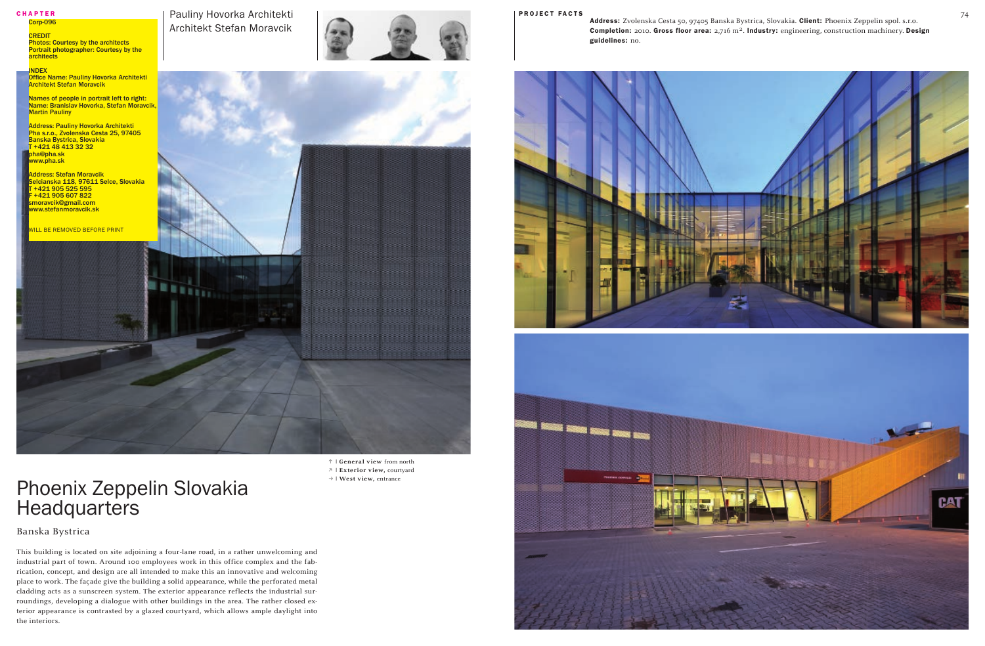Architekt Stefan Moravcik

i **| General view** from north o **| Exterior view,** courtyard p **| West view,** entrance



## Phoenix Zeppelin Slovakia **Headquarters**

guidelines: no.

Banska Bystrica

**CREDIT Photos: Courtesy by the architects** Portrait photographer: Courtesy by the architects

**INDEX** 

Office Name: Pauliny Hovorka Architekti **Architekt Stefan Moravcik** 

Names of people in portrait left to right: Name: Branislav Hovorka, Stefan Moravcik, **Martin Pauliny** 

**Address: Pauliny Hovorka Architekti** Pha s.r.o., Zvolenska Cesta 25, 97405 Banska Bystrica, Slovakia T +421 48 413 32 32 pha@pha.sk ww.pha.sk

**Idress: Stefan Moravcik** Selcianska 118, 97611 Selce, Slovakia T +421 905 525 595 F +421 905 607 822 noravcik@gmail.com ww.stefanmoravcik.sk

**ILL BE REMOVED BEFORE PRINT** 

This building is located on site adjoining a four-lane road, in a rather unwelcoming and industrial part of town. Around 100 employees work in this office complex and the fabrication, concept, and design are all intended to make this an innovative and welcoming place to work. The façade give the building a solid appearance, while the perforated metal cladding acts as a sunscreen system. The exterior appearance reflects the industrial surroundings, developing a dialogue with other buildings in the area. The rather closed exterior appearance is contrasted by a glazed courtyard, which allows ample daylight into the interiors.